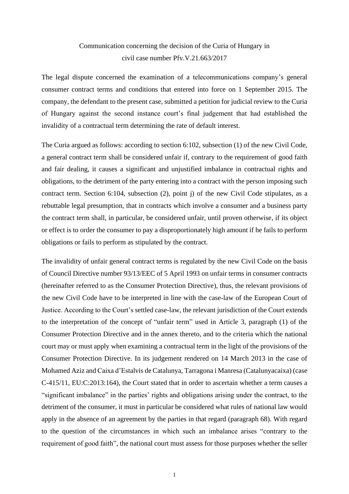## Communication concerning the decision of the Curia of Hungary in civil case number Pfv.V.21.663/2017

The legal dispute concerned the examination of a telecommunications company's general consumer contract terms and conditions that entered into force on 1 September 2015. The company, the defendant to the present case, submitted a petition for judicial review to the Curia of Hungary against the second instance court's final judgement that had established the invalidity of a contractual term determining the rate of default interest.

The Curia argued as follows: according to section 6:102, subsection (1) of the new Civil Code, a general contract term shall be considered unfair if, contrary to the requirement of good faith and fair dealing, it causes a significant and unjustified imbalance in contractual rights and obligations, to the detriment of the party entering into a contract with the person imposing such contract term. Section 6:104, subsection (2), point j) of the new Civil Code stipulates, as a rebuttable legal presumption, that in contracts which involve a consumer and a business party the contract term shall, in particular, be considered unfair, until proven otherwise, if its object or effect is to order the consumer to pay a disproportionately high amount if he fails to perform obligations or fails to perform as stipulated by the contract.

The invalidity of unfair general contract terms is regulated by the new Civil Code on the basis of Council Directive number 93/13/EEC of 5 April 1993 on unfair terms in consumer contracts (hereinafter referred to as the Consumer Protection Directive), thus, the relevant provisions of the new Civil Code have to be interpreted in line with the case-law of the European Court of Justice. According to the Court's settled case-law, the relevant jurisdiction of the Court extends to the interpretation of the concept of "unfair term" used in Article 3, paragraph (1) of the Consumer Protection Directive and in the annex thereto, and to the criteria which the national court may or must apply when examining a contractual term in the light of the provisions of the Consumer Protection Directive. In its judgement rendered on 14 March 2013 in the case of Mohamed Aziz and Caixa d'Estalvis de Catalunya, Tarragona i Manresa (Catalunyacaixa) (case C-415/11, EU:C:2013:164), the Court stated that in order to ascertain whether a term causes a "significant imbalance" in the parties' rights and obligations arising under the contract, to the detriment of the consumer, it must in particular be considered what rules of national law would apply in the absence of an agreement by the parties in that regard (paragraph 68). With regard to the question of the circumstances in which such an imbalance arises "contrary to the requirement of good faith", the national court must assess for those purposes whether the seller